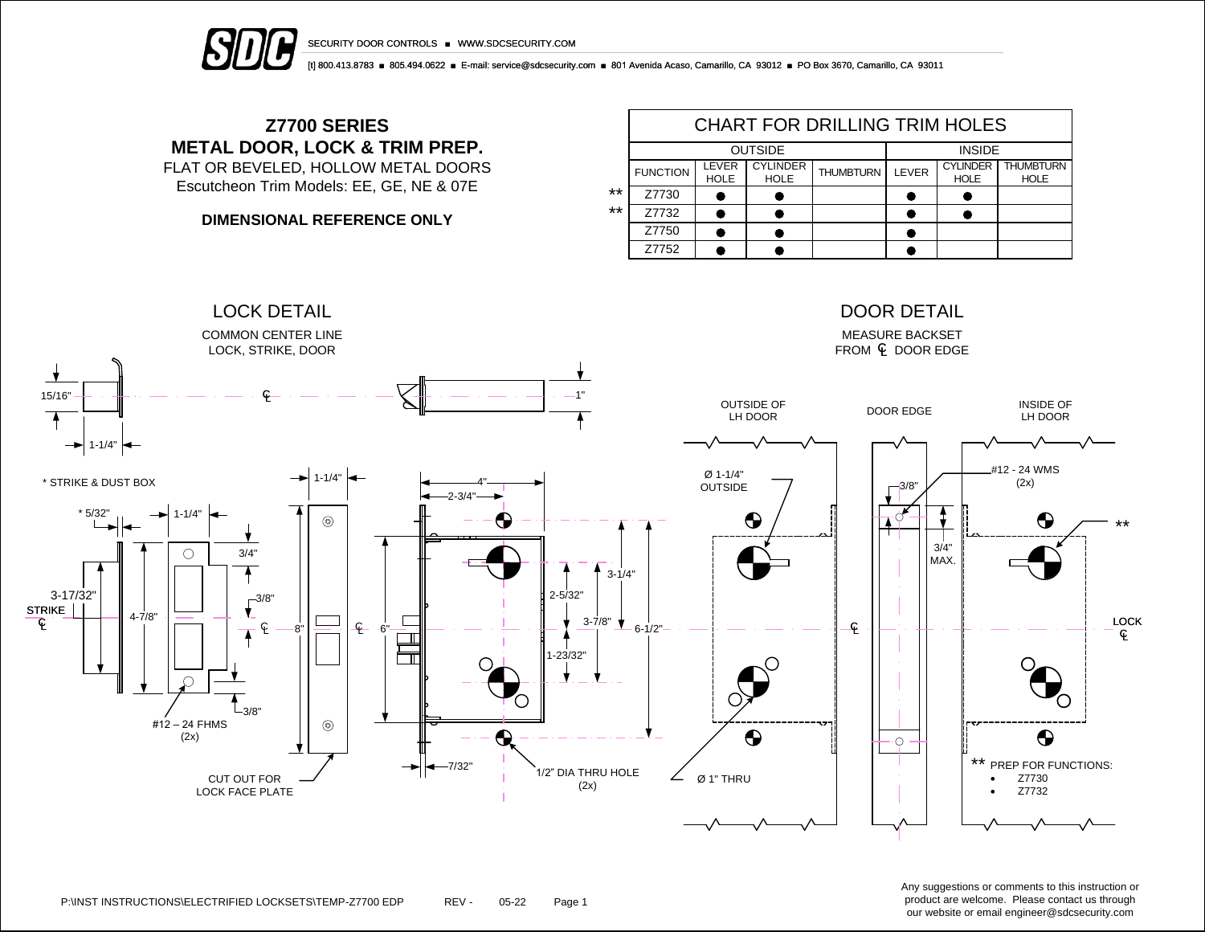

SECURITY DOOR CONTROLS ■ WWW.SDCSECURITY.COM

[t] 800.413.8783 ■ 805.494.0622 ■ E-mail: service@sdcsecurity.com ■ 801 Avenida Acaso, Camarillo, CA 93012 ■ PO Box 3670, Camarillo, CA 93011

## **Z7700 SERIES METAL DOOR, LOCK & TRIM PREP.**

FLAT OR BEVELED, HOLLOW METAL DOORS Escutcheon Trim Models: EE, GE, NE & 07E

**DIMENSIONAL REFERENCE ONLY**

|    | <b>CHART FOR DRILLING TRIM HOLES</b> |                             |                                |                  |              |                                |                                 |  |  |  |  |
|----|--------------------------------------|-----------------------------|--------------------------------|------------------|--------------|--------------------------------|---------------------------------|--|--|--|--|
|    |                                      | <b>OUTSIDE</b>              | <b>INSIDE</b>                  |                  |              |                                |                                 |  |  |  |  |
|    | <b>FUNCTION</b>                      | <b>LEVER</b><br><b>HOLE</b> | <b>CYLINDER</b><br><b>HOLE</b> | <b>THUMBTURN</b> | <b>LEVER</b> | <b>CYLINDER</b><br><b>HOLE</b> | <b>THUMBTURN</b><br><b>HOLE</b> |  |  |  |  |
| ** | Z7730                                |                             |                                |                  |              |                                |                                 |  |  |  |  |
| ** | Z7732                                |                             |                                |                  |              |                                |                                 |  |  |  |  |
|    | Z7750                                |                             |                                |                  |              |                                |                                 |  |  |  |  |
|    | Z7752                                |                             |                                |                  |              |                                |                                 |  |  |  |  |



Any suggestions or comments to this instruction or product are welcome. Please contact us through our website or email engineer@sdcsecurity.com